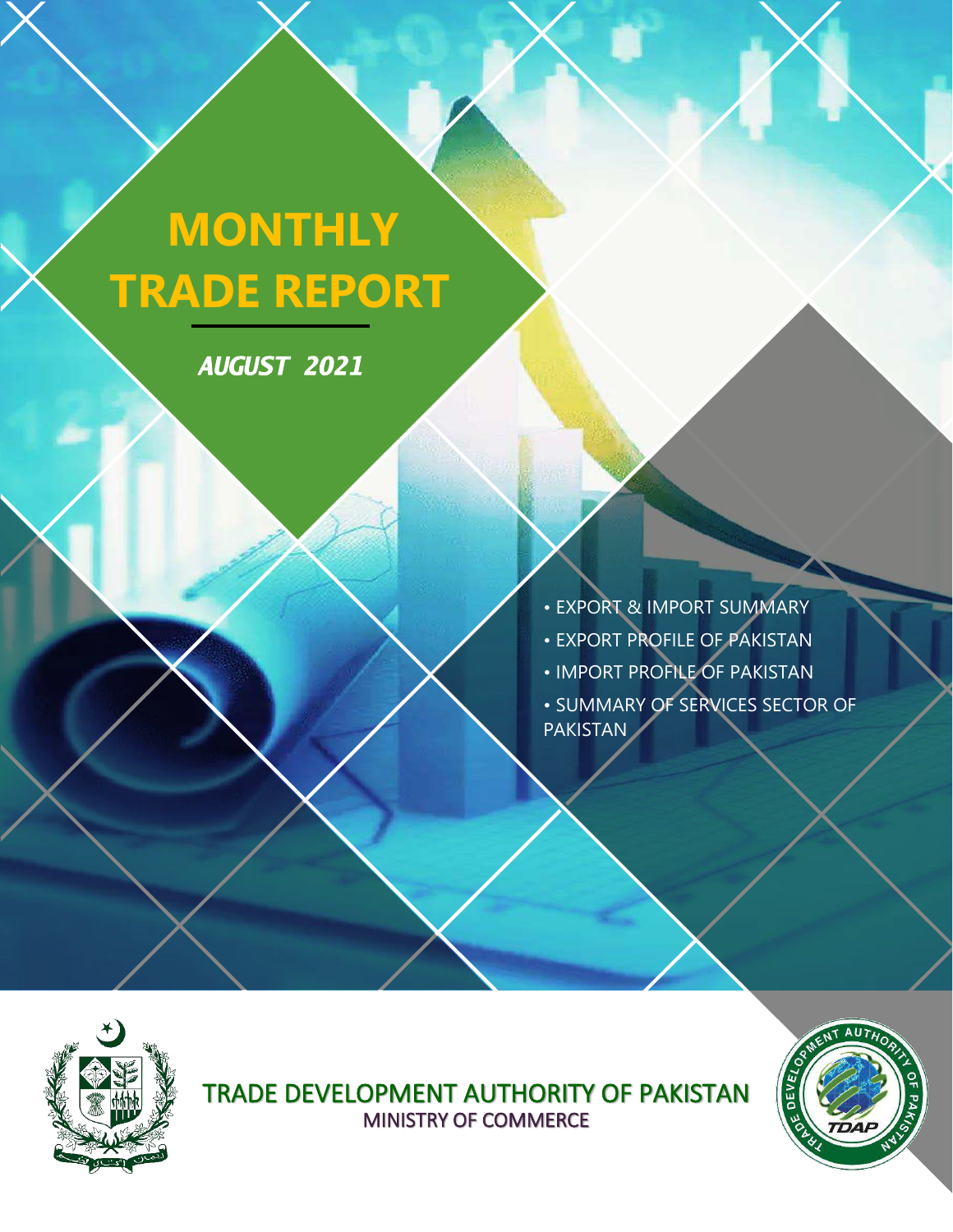# **MONTHLY TRADE REPORT**

*AUGUST 2021* 

• EXPORT & IMPORT SUMMARY • EXPORT PROFILE OF PAKISTAN

• IMPORT PROFILE OF PAKISTAN

• SUMMARY OF SERVICES SECTOR OF PAKISTAN



TRADE DEVELOPMENT AUTHORITY OF PAKISTAN MINISTRY OF COMMERCE

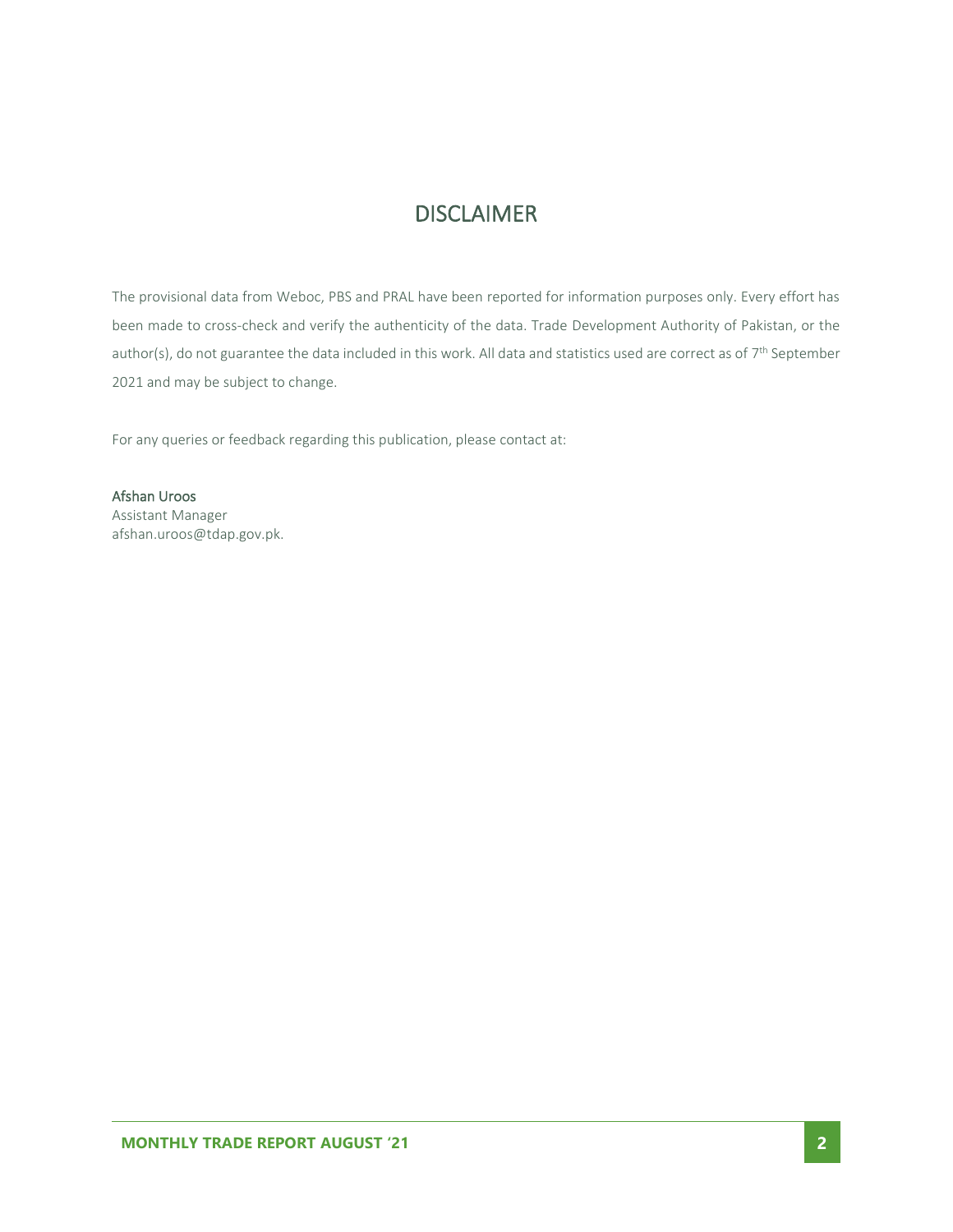#### **DISCLAIMER**

The provisional data from Weboc, PBS and PRAL have been reported for information purposes only. Every effort has been made to cross-check and verify the authenticity of the data. Trade Development Authority of Pakistan, or the author(s), do not guarantee the data included in this work. All data and statistics used are correct as of 7<sup>th</sup> September 2021 and may be subject to change.

For any queries or feedback regarding this publication, please contact at:

Afshan Uroos Assistant Manager afshan.uroos@tdap.gov.pk.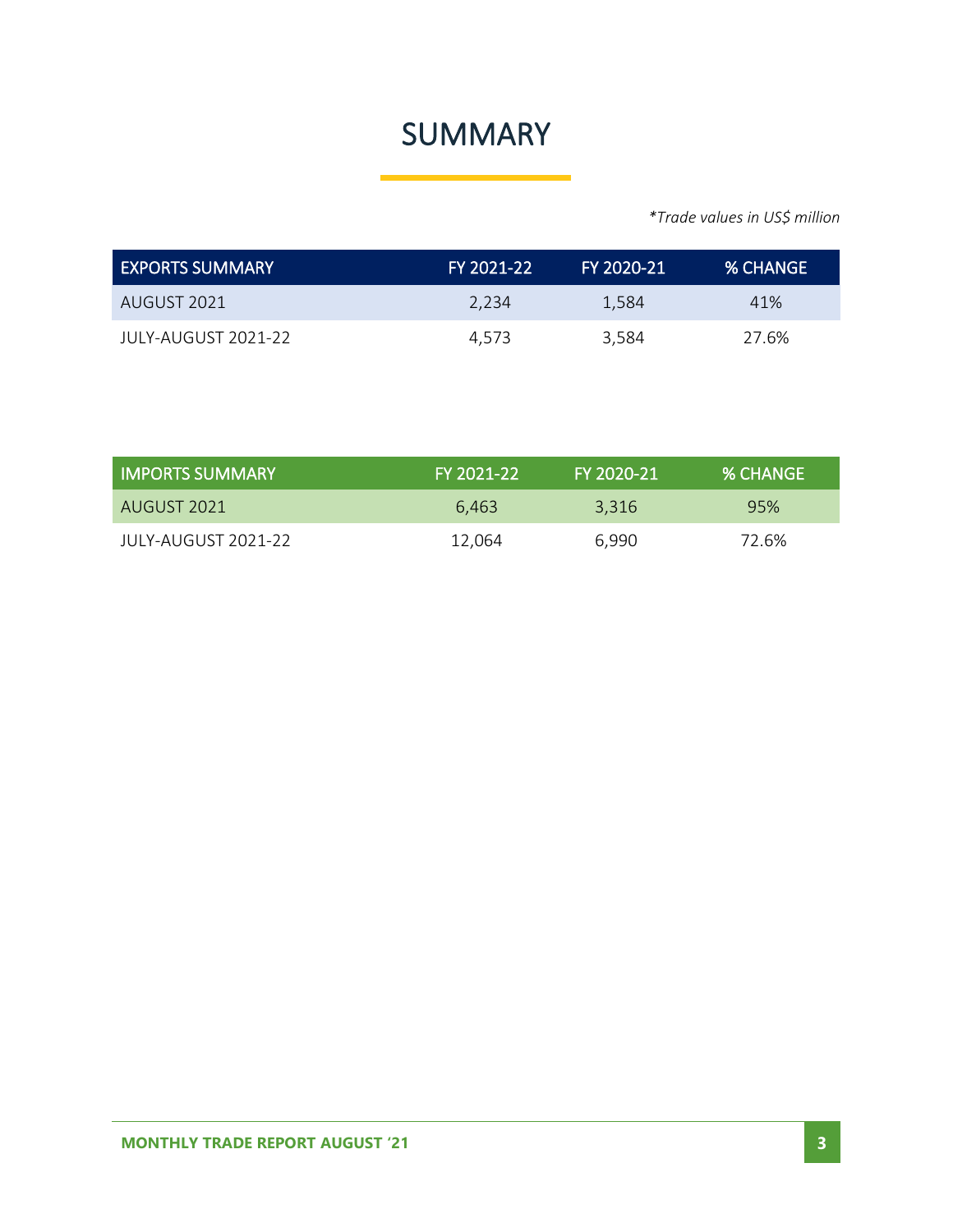### SUMMARY

*\*Trade values in US\$ million*

| EXPORTS SUMMARY      | FY 2021-22 | FY 2020-21 | <b>% CHANGE</b> |
|----------------------|------------|------------|-----------------|
| AUGUST 2021          | 2.234      | 1.584      | 41%             |
| JUI Y-AUGUST 2021-22 | 4.573      | 3.584      | 27.6%           |

| <b>IMPORTS SUMMARY</b> | FY 2021-22 | ا FY 2020-21 | <b>% CHANGE</b> |
|------------------------|------------|--------------|-----------------|
| AUGUST 2021            | 6.463      | 3,316        | 95%             |
| JULY-AUGUST 2021-22    | 12.064     | 6,990        | 72.6%           |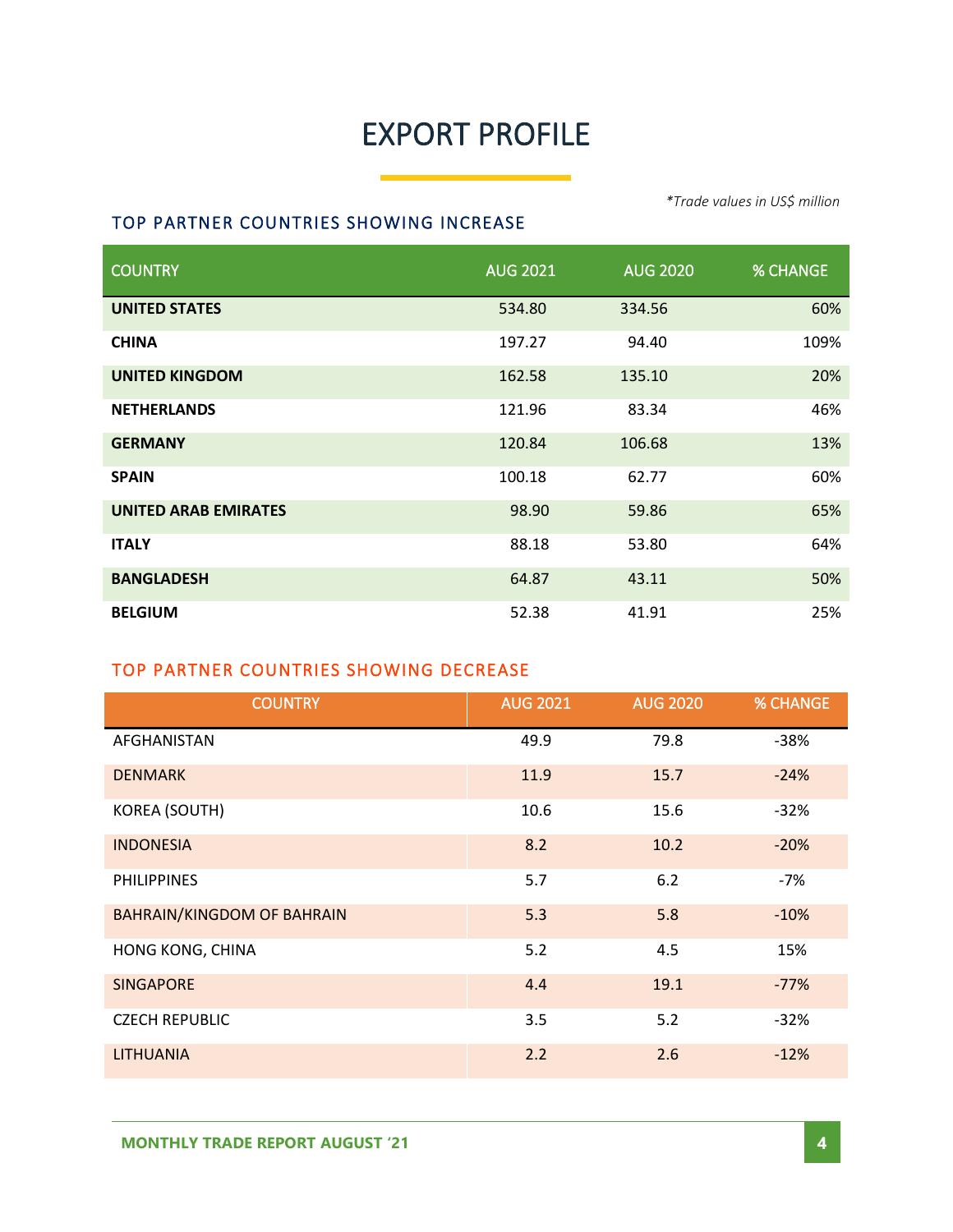### EXPORT PROFILE

#### *\*Trade values in US\$ million*

#### TOP PARTNER COUNTRIES SHOWING INCREASE

| <b>COUNTRY</b>              | <b>AUG 2021</b> | <b>AUG 2020</b> | <b>% CHANGE</b> |
|-----------------------------|-----------------|-----------------|-----------------|
| <b>UNITED STATES</b>        | 534.80          | 334.56          | 60%             |
| <b>CHINA</b>                | 197.27          | 94.40           | 109%            |
| <b>UNITED KINGDOM</b>       | 162.58          | 135.10          | 20%             |
| <b>NETHERLANDS</b>          | 121.96          | 83.34           | 46%             |
| <b>GERMANY</b>              | 120.84          | 106.68          | 13%             |
| <b>SPAIN</b>                | 100.18          | 62.77           | 60%             |
| <b>UNITED ARAB EMIRATES</b> | 98.90           | 59.86           | 65%             |
| <b>ITALY</b>                | 88.18           | 53.80           | 64%             |
| <b>BANGLADESH</b>           | 64.87           | 43.11           | 50%             |
| <b>BELGIUM</b>              | 52.38           | 41.91           | 25%             |

#### TOP PARTNER COUNTRIES SHOWING DECREASE

| <b>COUNTRY</b>                    | <b>AUG 2021</b> | <b>AUG 2020</b> | <b>% CHANGE</b> |
|-----------------------------------|-----------------|-----------------|-----------------|
| AFGHANISTAN                       | 49.9            | 79.8            | $-38%$          |
| <b>DENMARK</b>                    | 11.9            | 15.7            | $-24%$          |
| KOREA (SOUTH)                     | 10.6            | 15.6            | $-32%$          |
| <b>INDONESIA</b>                  | 8.2             | 10.2            | $-20%$          |
| <b>PHILIPPINES</b>                | 5.7             | 6.2             | -7%             |
| <b>BAHRAIN/KINGDOM OF BAHRAIN</b> | 5.3             | 5.8             | $-10%$          |
| HONG KONG, CHINA                  | 5.2             | 4.5             | 15%             |
| <b>SINGAPORE</b>                  | 4.4             | 19.1            | $-77%$          |
| <b>CZECH REPUBLIC</b>             | 3.5             | 5.2             | $-32%$          |
| <b>LITHUANIA</b>                  | 2.2             | 2.6             | $-12%$          |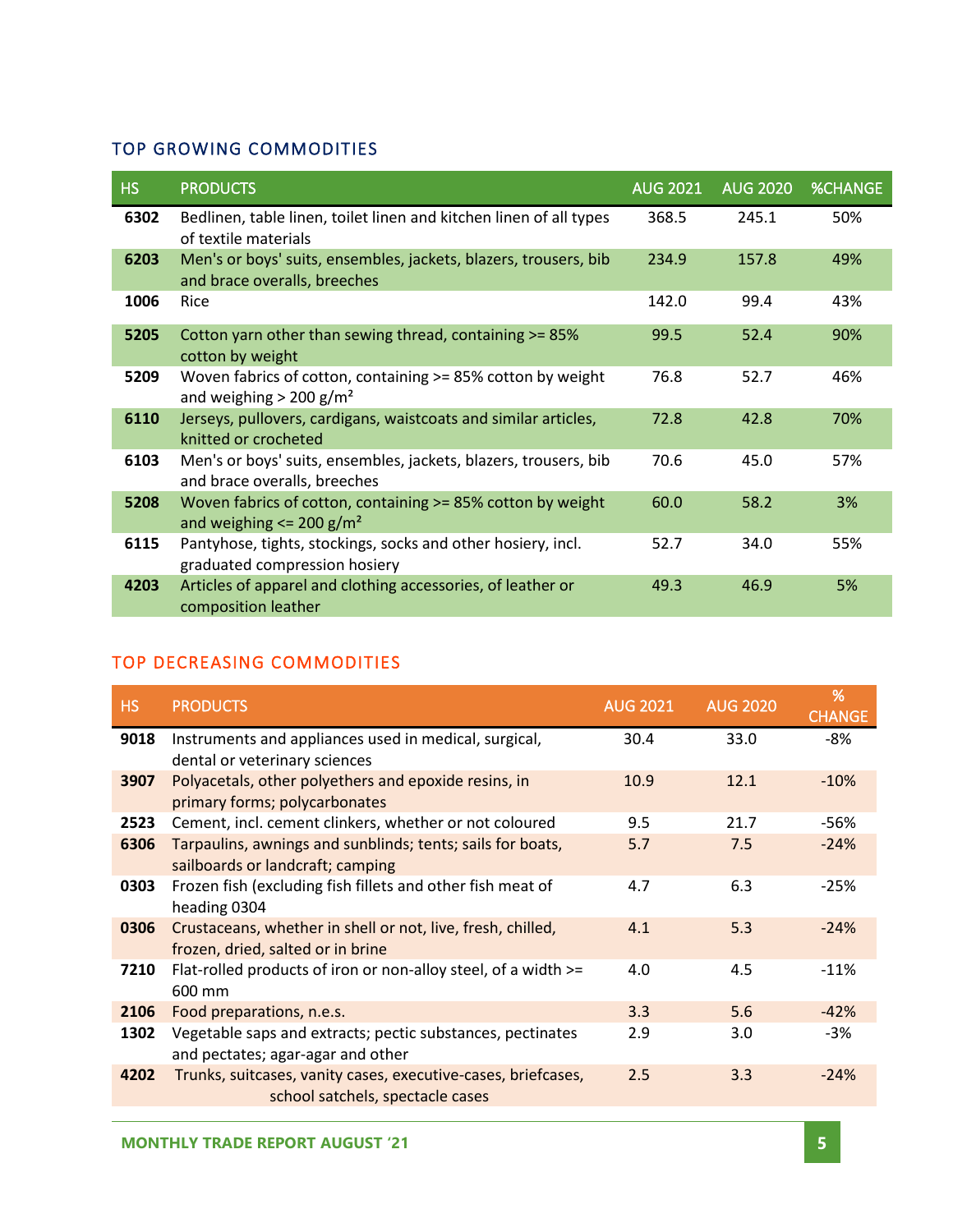#### TOP GROWING COMMODITIES

| <b>HS</b> | <b>PRODUCTS</b>                                                                                         | <b>AUG 2021</b> | <b>AUG 2020</b> | <b>%CHANGE</b> |
|-----------|---------------------------------------------------------------------------------------------------------|-----------------|-----------------|----------------|
| 6302      | Bedlinen, table linen, toilet linen and kitchen linen of all types<br>of textile materials              | 368.5           | 245.1           | 50%            |
| 6203      | Men's or boys' suits, ensembles, jackets, blazers, trousers, bib<br>and brace overalls, breeches        | 234.9           | 157.8           | 49%            |
| 1006      | Rice                                                                                                    | 142.0           | 99.4            | 43%            |
| 5205      | Cotton yarn other than sewing thread, containing >= 85%<br>cotton by weight                             | 99.5            | 52.4            | 90%            |
| 5209      | Woven fabrics of cotton, containing >= 85% cotton by weight<br>and weighing $> 200$ g/m <sup>2</sup>    | 76.8            | 52.7            | 46%            |
| 6110      | Jerseys, pullovers, cardigans, waistcoats and similar articles,<br>knitted or crocheted                 | 72.8            | 42.8            | 70%            |
| 6103      | Men's or boys' suits, ensembles, jackets, blazers, trousers, bib<br>and brace overalls, breeches        | 70.6            | 45.0            | 57%            |
| 5208      | Woven fabrics of cotton, containing >= 85% cotton by weight<br>and weighing $\leq$ 200 g/m <sup>2</sup> | 60.0            | 58.2            | 3%             |
| 6115      | Pantyhose, tights, stockings, socks and other hosiery, incl.<br>graduated compression hosiery           | 52.7            | 34.0            | 55%            |
| 4203      | Articles of apparel and clothing accessories, of leather or<br>composition leather                      | 49.3            | 46.9            | 5%             |

#### TOP DECREASING COMMODITIES

| <b>HS</b> | <b>PRODUCTS</b>                                                                                   | <b>AUG 2021</b> | <b>AUG 2020</b> | %<br><b>CHANGE</b> |
|-----------|---------------------------------------------------------------------------------------------------|-----------------|-----------------|--------------------|
| 9018      | Instruments and appliances used in medical, surgical,<br>dental or veterinary sciences            | 30.4            | 33.0            | -8%                |
| 3907      | Polyacetals, other polyethers and epoxide resins, in<br>primary forms; polycarbonates             | 10.9            | 12.1            | $-10%$             |
| 2523      | Cement, incl. cement clinkers, whether or not coloured                                            | 9.5             | 21.7            | -56%               |
| 6306      | Tarpaulins, awnings and sunblinds; tents; sails for boats,<br>sailboards or landcraft; camping    | 5.7             | 7.5             | $-24%$             |
| 0303      | Frozen fish (excluding fish fillets and other fish meat of<br>heading 0304                        | 4.7             | 6.3             | $-25%$             |
| 0306      | Crustaceans, whether in shell or not, live, fresh, chilled,<br>frozen, dried, salted or in brine  | 4.1             | 5.3             | $-24%$             |
| 7210      | Flat-rolled products of iron or non-alloy steel, of a width >=<br>600 mm                          | 4.0             | 4.5             | $-11%$             |
| 2106      | Food preparations, n.e.s.                                                                         | 3.3             | 5.6             | $-42%$             |
| 1302      | Vegetable saps and extracts; pectic substances, pectinates<br>and pectates; agar-agar and other   | 2.9             | 3.0             | $-3%$              |
| 4202      | Trunks, suitcases, vanity cases, executive-cases, briefcases,<br>school satchels, spectacle cases | 2.5             | 3.3             | $-24%$             |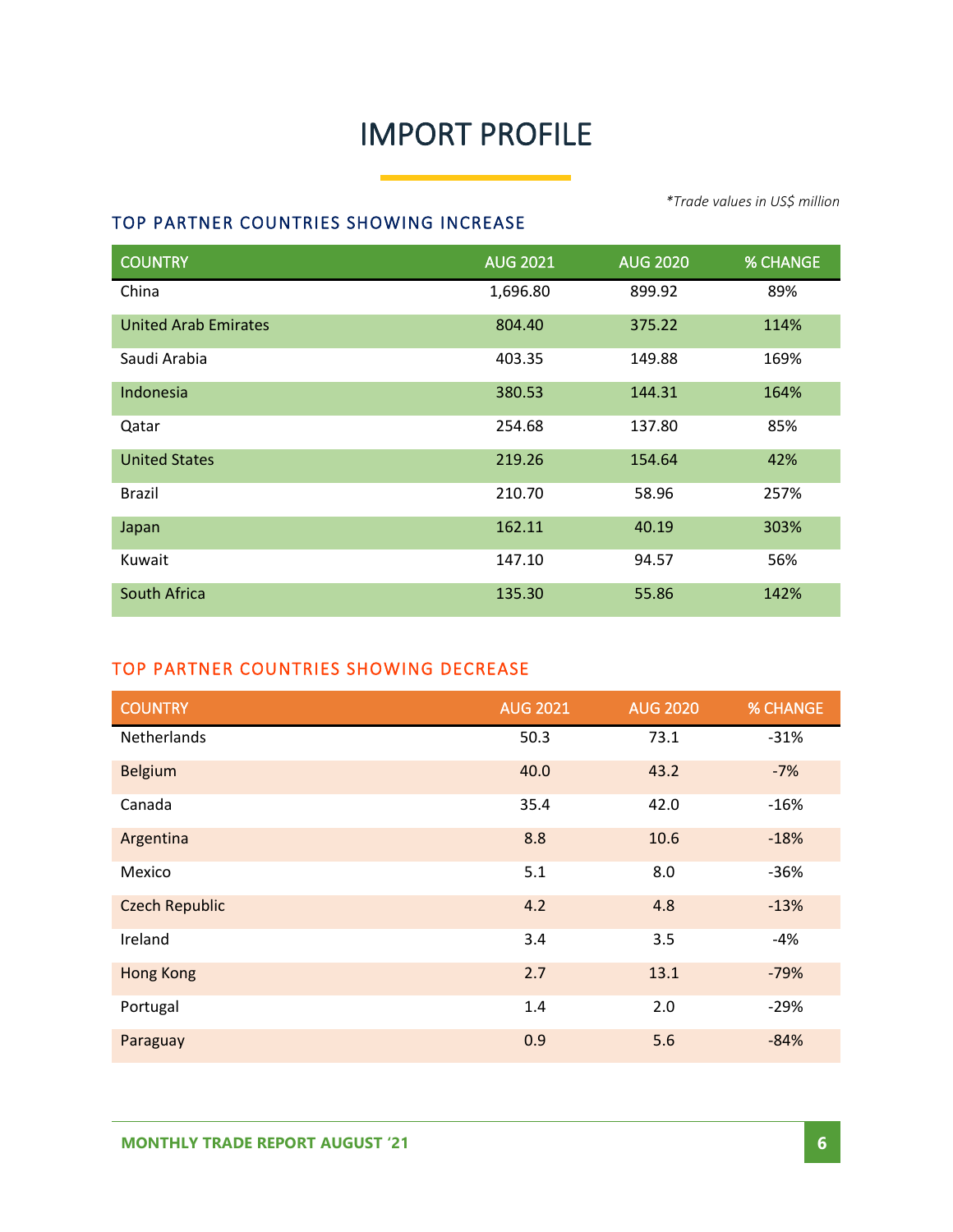### IMPORT PROFILE

#### TOP PARTNER COUNTRIES SHOWING INCREASE

COUNTRY AUG 2021 AUG 2020 % CHANGE China 2008 1,696.80 899.92 United Arab Emirates 804.40 375.22 114% Saudi Arabia 403.35 149.88 169% Indonesia 380.53 144.31 164% Qatar 254.68 137.80 85% United States 219.26 154.64 42% Brazil 210.70 58.96 257% Japan 162.11 40.19 303% Kuwait 147.10 94.57 56% South Africa 135.30 55.86 142%

#### TOP PARTNER COUNTRIES SHOWING DECREASE

| <b>COUNTRY</b>        | <b>AUG 2021</b> | <b>AUG 2020</b> | <b>% CHANGE</b> |
|-----------------------|-----------------|-----------------|-----------------|
| Netherlands           | 50.3            | 73.1            | $-31%$          |
| <b>Belgium</b>        | 40.0            | 43.2            | $-7%$           |
| Canada                | 35.4            | 42.0            | $-16%$          |
| Argentina             | 8.8             | 10.6            | $-18%$          |
| Mexico                | 5.1             | 8.0             | $-36%$          |
| <b>Czech Republic</b> | 4.2             | 4.8             | $-13%$          |
| Ireland               | 3.4             | 3.5             | $-4%$           |
| <b>Hong Kong</b>      | 2.7             | 13.1            | $-79%$          |
| Portugal              | 1.4             | 2.0             | $-29%$          |
| Paraguay              | 0.9             | 5.6             | $-84%$          |

*\*Trade values in US\$ million*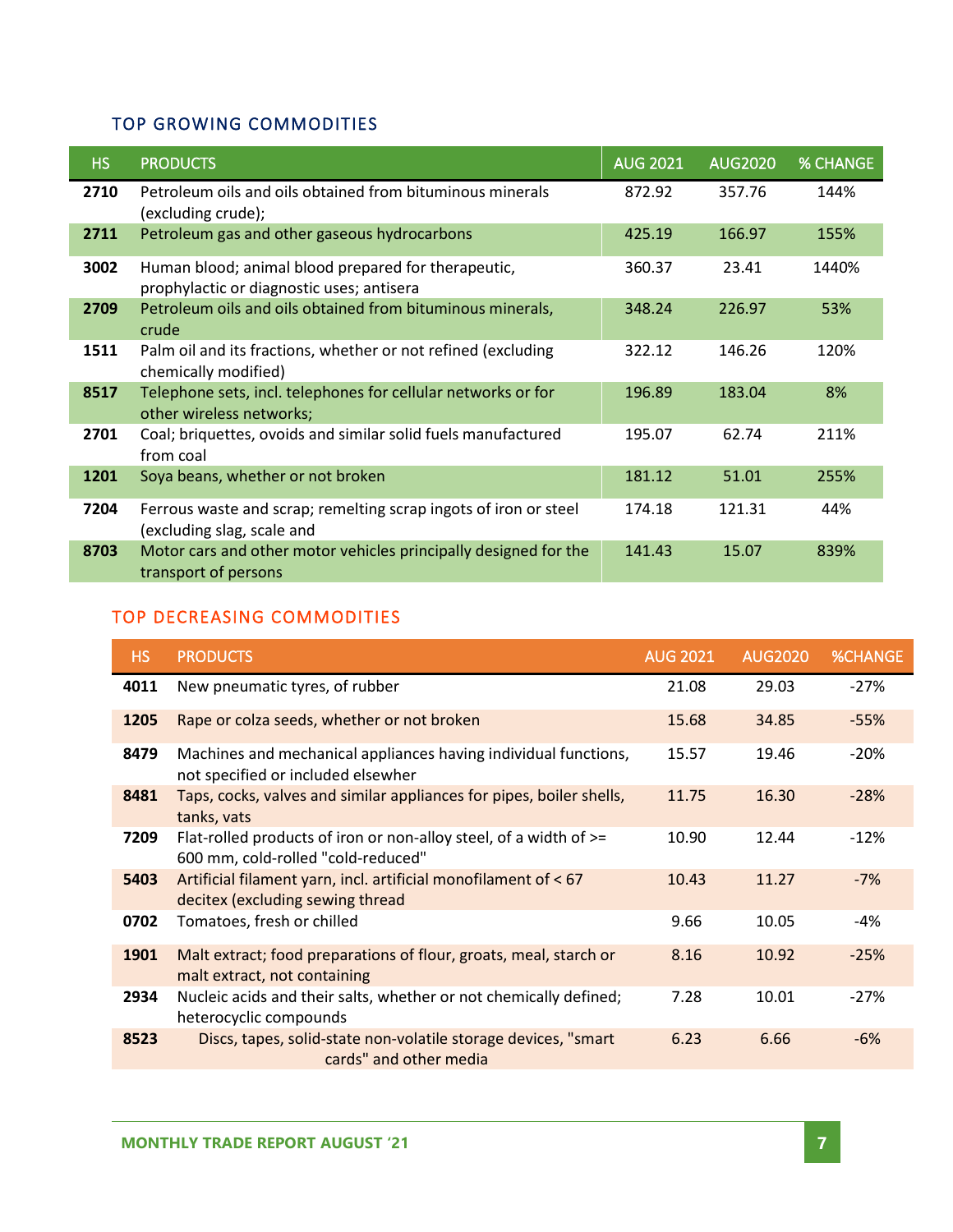#### TOP GROWING COMMODITIES

| HS.  | <b>PRODUCTS</b>                                                                                  | <b>AUG 2021</b> | <b>AUG2020</b> | <b>% CHANGE</b> |
|------|--------------------------------------------------------------------------------------------------|-----------------|----------------|-----------------|
| 2710 | Petroleum oils and oils obtained from bituminous minerals<br>(excluding crude);                  | 872.92          | 357.76         | 144%            |
| 2711 | Petroleum gas and other gaseous hydrocarbons                                                     | 425.19          | 166.97         | 155%            |
| 3002 | Human blood; animal blood prepared for therapeutic,<br>prophylactic or diagnostic uses; antisera | 360.37          | 23.41          | 1440%           |
| 2709 | Petroleum oils and oils obtained from bituminous minerals,<br>crude                              | 348.24          | 226.97         | 53%             |
| 1511 | Palm oil and its fractions, whether or not refined (excluding<br>chemically modified)            | 322.12          | 146.26         | 120%            |
| 8517 | Telephone sets, incl. telephones for cellular networks or for<br>other wireless networks;        | 196.89          | 183.04         | 8%              |
| 2701 | Coal; briquettes, ovoids and similar solid fuels manufactured<br>from coal                       | 195.07          | 62.74          | 211%            |
| 1201 | Soya beans, whether or not broken                                                                | 181.12          | 51.01          | 255%            |
| 7204 | Ferrous waste and scrap; remelting scrap ingots of iron or steel<br>(excluding slag, scale and   | 174.18          | 121.31         | 44%             |
| 8703 | Motor cars and other motor vehicles principally designed for the<br>transport of persons         | 141.43          | 15.07          | 839%            |

#### TOP DECREASING COMMODITIES

| HS   | <b>PRODUCTS</b>                                                                                              | <b>AUG 2021</b> | AUG <sub>2020</sub> | <b>%CHANGE</b> |
|------|--------------------------------------------------------------------------------------------------------------|-----------------|---------------------|----------------|
| 4011 | New pneumatic tyres, of rubber                                                                               | 21.08           | 29.03               | $-27%$         |
| 1205 | Rape or colza seeds, whether or not broken                                                                   | 15.68           | 34.85               | $-55%$         |
| 8479 | Machines and mechanical appliances having individual functions,<br>not specified or included elsewher        | 15.57           | 19.46               | $-20%$         |
| 8481 | Taps, cocks, valves and similar appliances for pipes, boiler shells,<br>tanks, vats                          | 11.75           | 16.30               | $-28%$         |
| 7209 | Flat-rolled products of iron or non-alloy steel, of a width of $\ge$ =<br>600 mm, cold-rolled "cold-reduced" | 10.90           | 12.44               | $-12%$         |
| 5403 | Artificial filament yarn, incl. artificial monofilament of < 67<br>decitex (excluding sewing thread          | 10.43           | 11.27               | $-7%$          |
| 0702 | Tomatoes, fresh or chilled                                                                                   | 9.66            | 10.05               | -4%            |
| 1901 | Malt extract; food preparations of flour, groats, meal, starch or<br>malt extract, not containing            | 8.16            | 10.92               | $-25%$         |
| 2934 | Nucleic acids and their salts, whether or not chemically defined;<br>heterocyclic compounds                  | 7.28            | 10.01               | $-27%$         |
| 8523 | Discs, tapes, solid-state non-volatile storage devices, "smart<br>cards" and other media                     | 6.23            | 6.66                | $-6%$          |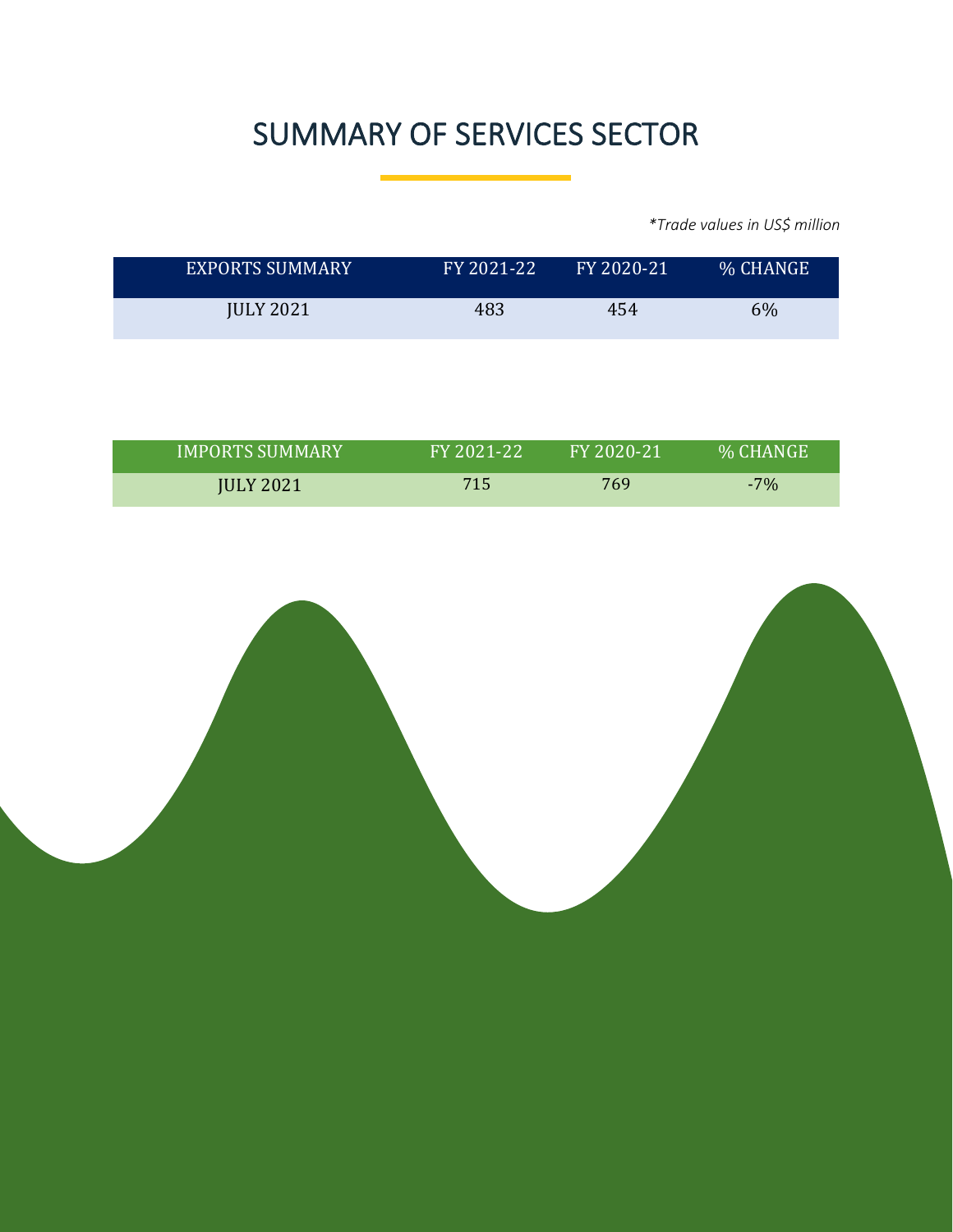### SUMMARY OF SERVICES SECTOR

*\*Trade values in US\$ million*

| <b>EXPORTS SUMMARY</b> | FY 2021-22 | FY 2020-21 | % CHANGE |
|------------------------|------------|------------|----------|
| <b>JULY 2021</b>       | 483        | 454        | 6%       |

| <b>IMPORTS SUMMARY</b> | FY 2021-22 | FY 2020-21 | <b>% CHANGE</b> |
|------------------------|------------|------------|-----------------|
| <b>JULY 2021</b>       | 715        | 769        | $-7%$           |